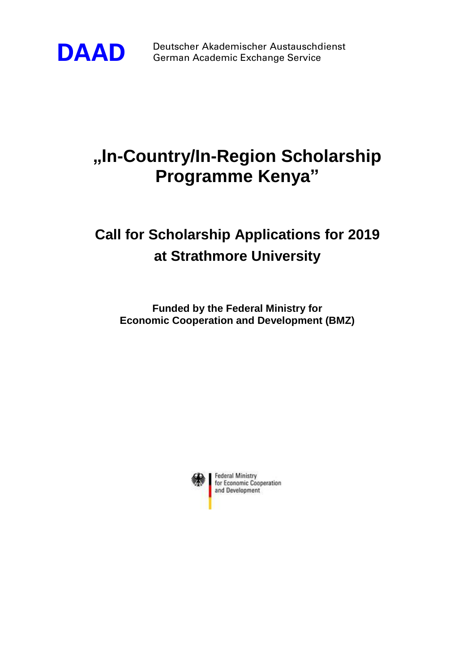

**DAAD** Deutscher Akademischer Austauschdienst<br>German Academic Exchange Service German Academic Exchange Service

## **"In-Country/In-Region Scholarship Programme Kenya"**

## **Call for Scholarship Applications for 2019 at Strathmore University**

**Funded by the Federal Ministry for Economic Cooperation and Development (BMZ)**

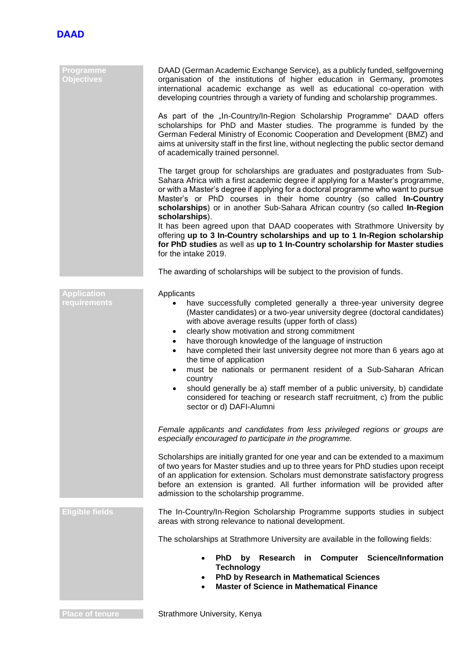

| Programme<br><b>Objectives</b>     | DAAD (German Academic Exchange Service), as a publicly funded, selfgoverning<br>organisation of the institutions of higher education in Germany, promotes<br>international academic exchange as well as educational co-operation with<br>developing countries through a variety of funding and scholarship programmes.                                                                                                                                                                                                                                                                                                                                                                                                                                                           |  |  |
|------------------------------------|----------------------------------------------------------------------------------------------------------------------------------------------------------------------------------------------------------------------------------------------------------------------------------------------------------------------------------------------------------------------------------------------------------------------------------------------------------------------------------------------------------------------------------------------------------------------------------------------------------------------------------------------------------------------------------------------------------------------------------------------------------------------------------|--|--|
|                                    | As part of the "In-Country/In-Region Scholarship Programme" DAAD offers<br>scholarships for PhD and Master studies. The programme is funded by the<br>German Federal Ministry of Economic Cooperation and Development (BMZ) and<br>aims at university staff in the first line, without neglecting the public sector demand<br>of academically trained personnel.                                                                                                                                                                                                                                                                                                                                                                                                                 |  |  |
|                                    | The target group for scholarships are graduates and postgraduates from Sub-<br>Sahara Africa with a first academic degree if applying for a Master's programme,<br>or with a Master's degree if applying for a doctoral programme who want to pursue<br>Master's or PhD courses in their home country (so called In-Country<br>scholarships) or in another Sub-Sahara African country (so called In-Region<br>scholarships).<br>It has been agreed upon that DAAD cooperates with Strathmore University by<br>offering up to 3 In-Country scholarships and up to 1 In-Region scholarship<br>for PhD studies as well as up to 1 In-Country scholarship for Master studies<br>for the intake 2019.                                                                                 |  |  |
|                                    | The awarding of scholarships will be subject to the provision of funds.                                                                                                                                                                                                                                                                                                                                                                                                                                                                                                                                                                                                                                                                                                          |  |  |
| <b>Application</b><br>requirements | Applicants<br>have successfully completed generally a three-year university degree<br>$\bullet$<br>(Master candidates) or a two-year university degree (doctoral candidates)<br>with above average results (upper forth of class)<br>clearly show motivation and strong commitment<br>٠<br>have thorough knowledge of the language of instruction<br>$\bullet$<br>have completed their last university degree not more than 6 years ago at<br>$\bullet$<br>the time of application<br>must be nationals or permanent resident of a Sub-Saharan African<br>$\bullet$<br>country<br>should generally be a) staff member of a public university, b) candidate<br>$\bullet$<br>considered for teaching or research staff recruitment, c) from the public<br>sector or d) DAFI-Alumni |  |  |
|                                    | Female applicants and candidates from less privileged regions or groups are<br>especially encouraged to participate in the programme.                                                                                                                                                                                                                                                                                                                                                                                                                                                                                                                                                                                                                                            |  |  |
|                                    | Scholarships are initially granted for one year and can be extended to a maximum<br>of two years for Master studies and up to three years for PhD studies upon receipt<br>of an application for extension. Scholars must demonstrate satisfactory progress<br>before an extension is granted. All further information will be provided after<br>admission to the scholarship programme.                                                                                                                                                                                                                                                                                                                                                                                          |  |  |
| <b>Eligible fields</b>             | The In-Country/In-Region Scholarship Programme supports studies in subject<br>areas with strong relevance to national development.                                                                                                                                                                                                                                                                                                                                                                                                                                                                                                                                                                                                                                               |  |  |
|                                    | The scholarships at Strathmore University are available in the following fields:                                                                                                                                                                                                                                                                                                                                                                                                                                                                                                                                                                                                                                                                                                 |  |  |
|                                    | <b>Science/Information</b><br>PhD by Research<br>Computer<br>in<br><b>Technology</b><br>PhD by Research in Mathematical Sciences<br><b>Master of Science in Mathematical Finance</b>                                                                                                                                                                                                                                                                                                                                                                                                                                                                                                                                                                                             |  |  |
| <b>Place of tenure</b>             | Strathmore University, Kenya                                                                                                                                                                                                                                                                                                                                                                                                                                                                                                                                                                                                                                                                                                                                                     |  |  |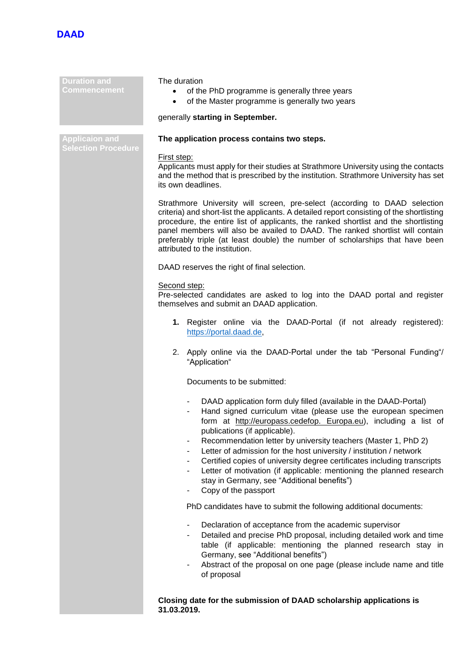

**Duration and Commencement** The duration • of the PhD programme is generally three years • of the Master programme is generally two years generally **starting in September. Applicaion and The application process contains two steps.** First step: Applicants must apply for their studies at Strathmore University using the contacts and the method that is prescribed by the institution. Strathmore University has set its own deadlines. Strathmore University will screen, pre-select (according to DAAD selection criteria) and short-list the applicants. A detailed report consisting of the shortlisting procedure, the entire list of applicants, the ranked shortlist and the shortlisting panel members will also be availed to DAAD. The ranked shortlist will contain preferably triple (at least double) the number of scholarships that have been attributed to the institution. DAAD reserves the right of final selection. Second step: Pre-selected candidates are asked to log into the DAAD portal and register themselves and submit an DAAD application. **1.** Register online via the DAAD-Portal (if not already registered): [https://portal.daad.de,](https://portal.daad.de/) 2. Apply online via the DAAD-Portal under the tab "Personal Funding"/ "Application" Documents to be submitted: DAAD application form duly filled (available in the DAAD-Portal) Hand signed curriculum vitae (please use the european specimen form at http://europass.cedefop. Europa.eu), including a list of publications (if applicable). Recommendation letter by university teachers (Master 1, PhD 2) Letter of admission for the host university / institution / network Certified copies of university degree certificates including transcripts Letter of motivation (if applicable: mentioning the planned research stay in Germany, see "Additional benefits") Copy of the passport PhD candidates have to submit the following additional documents: Declaration of acceptance from the academic supervisor Detailed and precise PhD proposal, including detailed work and time table (if applicable: mentioning the planned research stay in Germany, see "Additional benefits") Abstract of the proposal on one page (please include name and title of proposal

**Closing date for the submission of DAAD scholarship applications is 31.03.2019.**